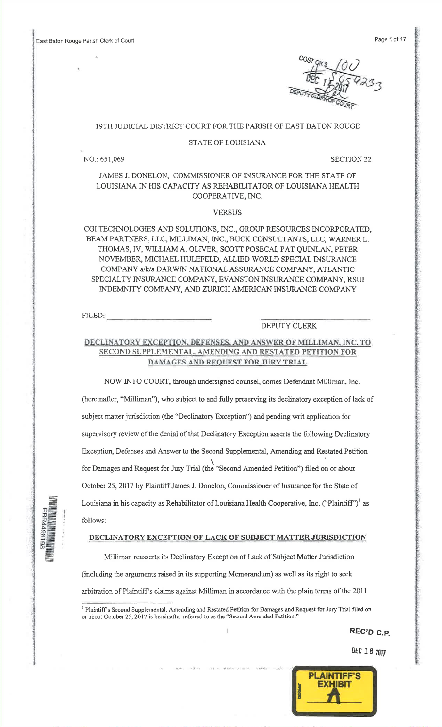East Baton Rouge Parish Clerk of Court

cosr $\mathcal O$ I

## IgTH JUDICIAL DISTRICT COURT FORTHE PARISH OF EAST BATON ROUCE

#### STATE OF LOUISIANA

NO.:651,069

 $SECTION 22$ 

JAMES J. DONELON, COMMISSTONER OF INSURANCE FOR THE STATE OFLOUISIANA IN HIS CAPACITY AS REHABILITATOR OF LOUISIANA HEALTH COOPERATIVE, INC.

VERSUS

CGI TECHNOLOGIES AND SOLUTIONS, INC., GROUP RESOURCES INCORPORATED,BEAM PARTNERS, LLC, MILLIMAN, INC., BUCK CONSULTANTS, LLC, WARNER L. THOMAS, iV, WILIAM A. OLIVER, SCOTT POSECAI, pAT QUINLAN, PETERNOVEMBER, MICHAEL HULEFELD, ALLIED WORLD SPECIAL INSURANCE COMPANY a/k/a DARWIN NATIONAL ASSURANCE COMPANY, ATLANTIC SPECIALTY INSURANCE COMPANY, EVANSTON INSURANCE COMPANY, RSUI INDEMNITY COMPANY, AND ZURICH AMERICAN INSURANCE COMPANY

FILED

:\* $\Box \equiv$  $\frac{1}{2}$ 

 $_{\circ}$  . E=

## DEPUTY CLERK

# DECLINATORY EXCEPTION. DEFENSES, AND ANSWER OF MILLIMAN, INC. TO SECOND SUPPLEMENTAL, AMENDING AND RESTATED PETITION FOR DAMAGES AND REQUEST FOR JURY TRIAL

NOW INTO COURT, through undersigned counsel, comes Defendant Milliman, Inc. (hereinafter, "Milliman"), who subject to and fully preserving its declinatory exception of lack of subject matter jurisdiction (the "Declinatory Exception") and pending writ application forsupervisory review of the denial of that Declinatory Exception asserts the following DeclinatoryException, Defenses and Answer to fhe Second Supplemental, Amending and Restated Petition\ for Damages and Request for Jury Trial (the "Second Amended Petition") filed on or aboutOctober 25,2017 by PlaintiffJames J. Donelon, Commissioner of Insurance for the State ofLouisiana in his capacity as Rehabilitator of Louisiana Health Cooperative, Inc. ("Plaintiff")<sup>t</sup> as follows:

### DECLINATORY EXCEPTION OF LACK OF SUBJECT MATTER JURISDICTION

Milliman reasserts its Declinatory Exception of Lack of Subject Matter Jurisdiction(including the arguments raised in its supporting Memorandum) as well as its right to seekarbitration of Piaintiff s claims against Milliman in accordance with the plain terms of the 20l l

1

REC'D C.P.

DEC 18 2017



<sup>&</sup>lt;sup>1</sup> Plaintiff's Second Supplemental, Amending and Restated Petition for Damages and Request for Jury Trial filed on or about October 25, 2017 is hereinafter referred to as the "Second Amended Petition."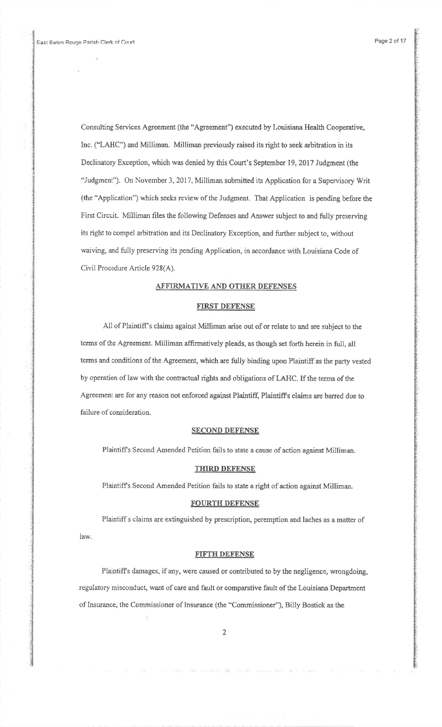Consulting Services Agreement (the "Agreement") executed by Louisiana Health Cooperative, Inc. ("LAHC") and Milliman. Milliman previously raised its right to seek arbitation in itsDeclinatory Exception, which was denied by this Court's September 19, 2017 Judgment (the "Judgment"). On November 3, 2017, Milliman submitted its Application for a Supervisory Writ (the "Application") which seeks review of the Judgment. That Application is pending before theFirst Circuit. Milliman files the following Defenses and Answer subject to and fully preserving its right to compel arbitration and its Declinatory Exception, and further subject to, without waiving, and fully preserving its pending Application, in accordance with Louisiana Code ofCivil Procedure Article 928(A).

# AFFIRMATIVE AND OTHER DEFENSES

### FIRST DEFENSE

All of Plaintiffs claims against Milliman arise out of or relate to and are subject to theterms of the Agreement. Milliman affirmatively pleads, as though set forth herein in full, all terms and conditions of the Agreement, which are fully binding upon Plaintiff as the party vested by operation of law with the contractual rights and obligations of LAHC. If the terms of theAgreement are for any reason not enforced against Plaintiff, Plaintiff's claims are barred due to failure of consideration.

### **SECOND DEFENSE**

Plaintiffs Second Amended Petition fails to state a cause of action against Milliman-

### THIRD DEFENSE

Plaintiffs Second Amended Petition fails to state a right of action against Milliman.

### FOURTH DEFENSE

Plaintiff s claims are extinguished by prescription, peremption and laches as a matter oflaw.

### FIFTH DEFENSE

Plaintiffs damages, if any, were caused or contributed to by the negligence, wrongdoing,regulatory misconduct, want of care and fault or comparative fault of the Louisiana Departmentof Insurance, the Commissioner of Insurance (the \*Commissioner'), Billy Bostick as the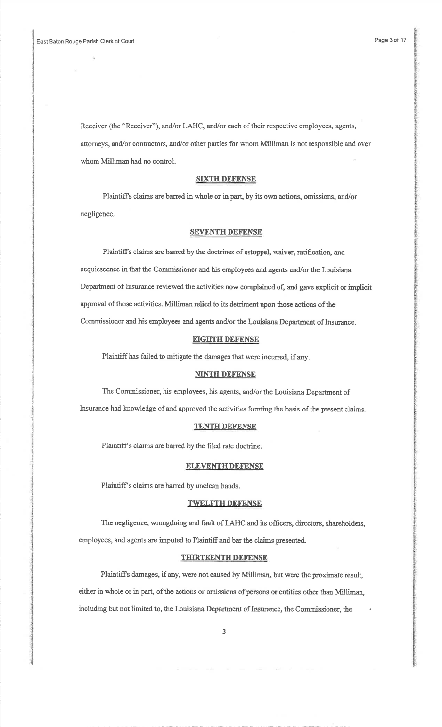Receiver (the "Receiver"), andlor LAHC, and/or each of their respective employees, agents,attorneys, and/or contractors, and/or other parties for whom Milliman is not responsible and over whom Milliman had no control.

## SIXTH DEFENSE

Plaintiffs claims are baned in whole or in part, by its own actions, omissions, and/ornegligence.

### **SEVENTH DETENSE**

Plaintiffs claims are baned by the doctrines of estoppel, waiver, ratification, andacquiescence in that the Commissioner and his employees and agents and/or the Louisiana Department of Insurance reviewed the activities now complained of, and gave explicit or implicit approval of those activities. Milliman relied to its detriment upon those actions of theCommissioner and his employees and agents and/or the Louisiana Department of Insurance.

## EIGHTH DEFENSE

Plaintiff has failed to mitigate the damages that were incurred, if any.

## NINTH DEFENSE

The Commissioner, his employees, his agents, and/or the Louisiana Department of

Insurance had knowledge of and approved the activities forming the basis of the present claims-

## TENTH DEFENSE

Plaintiff's claims are barred by the filed rate doctrine.

### ELEVENTH DEFENSE

Plaintiff's claims are barred by unclean hands.

#### TWELFTH DEFENSE

The negligence, wrongdoing and fault of LAHC and its officers, directors, shareholders, employees, and agents are imputed to Plaintiff and bar the claims presented.

## THIRTEENTH DEFENSE

Plaintiffs damages, if any, were not caused by Milliman, but were the proximate result,either in whole or in part, of the actions or omissions of persons or entities other than Milliman, including but not limited to, the Louisiana Department of Insurance, the Commissioner, the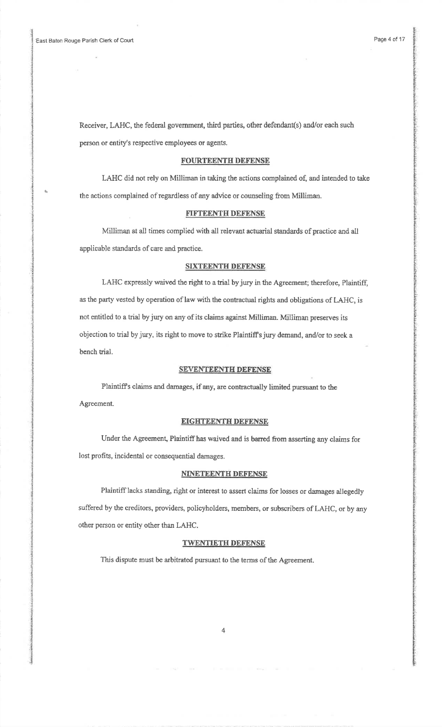a

Receiver, LAHC, the federal government, third parties, other defendant(s) and/or each such person or entity's respective employees or agents.

### FOURTEENTH DEFENSE

LAHC did not rely on Milliman in taking the aetions complained of, and intended to takethe actions complained of regardless of any advice or counseling from Milliman.

## FIFTEENTH DEFENSE

Milliman at all times complied with all reievant actuarial skndards of practice and allapplicable standards of care and practice.

## **SIXTEENTH DEFENSE**

LAHC expressly waived the right to a frial by jury in the Agrecment; therefore, Plaintiff,as the party vested by operation of law with the contractual rights and obligations of LAHC, is not entitled to a trial by jury on any of its claims against Milliman. Milliman preserves itsobjection to trial by jury, its right to move to strike Plaintiffs jury demand, and/or to seek abench trial.

## SEVENTEENTH DEFENSE

Plaintiff's claims and damages, if any, are contractually limited pursuant to the Agreement.

## **EIGHTEENTH DEFENSE**

Under the Agreement, Plaintiffhas waived and is baned frorn asserting any claims forIost profits, incidental or consequential damages.

## NINETEENTH DEFENSE

Plaintifflacks standing, right or interest to assert claims for losses or damages allegcdlysuffered by the creditors, providers, policyholders, members, or subscribers of LAHC, or by anyother person or entity other than LAHC.

## TWENTIETH DEFENSE

This dispute must be arbitrated pursuant to the terms of the Agreement.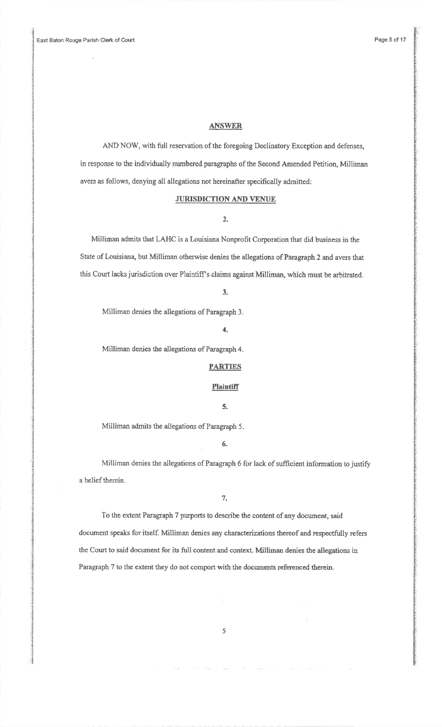### ANSWER

AND NOW, with full reservation of the foregoing Declinatory Exception and defenses,in response to the individually numbered paragraphs of the Second Amended Petition, Milliman avers as follows, denying all allegations not hereinafter specifically admitted:

# JURISDICTION AND YENUE

## 2,

Millirnan admits that LAHC is a Louisiana Nonprofit Corporation that did business in theState of Louisiana, but Milliman otherwise denies the allegations of Paragraph 2 and avers that this Court lacks jurisdiction over Plaintiff's claims against Milliman, which must be arbitrated.

### 3.

Milliman denies the allegations of Paragraph 3.

#### 4.

Milliman denies the allegations of Paragraph 4.

## **PARTIES**

## **Plaintiff**

#### 5.

Milliman admits the allegations of Paragraph 5.

# 6.

Milliman denies the allegations of Paragraph 6 for lack of sufficient information to justify a belief therein.

## 7.

To the extent Paragraph 7 purports to describe the content of any document, saiddocument speaks for itself. Milliman denies any characterizations thereof and respectfully refersthe Court to said document for its fulI content and context. Milliman denies the allegations inParagraph 7 to the extent they do not comport with the documents referenced therein.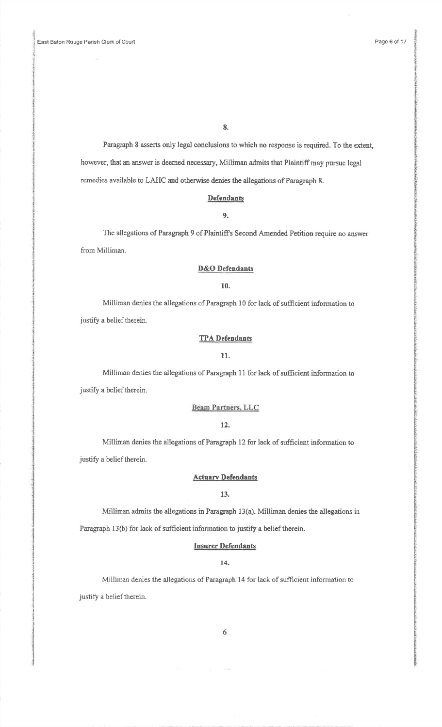Paragraph 8 asserts only legal conclusions to which no response is required. To the extent,however, that an answer is deemed necessary, Milliman admits that Plaintiff may pursue legal remedies available to LAHC and otherwise denies the allegations of Paragraph 8.

# Defendants

## 9.

The allegations of Paragraph 9 of Plaintiffs Second Amended Petition require no answerfrom Milliman.

## D&O Defendants

### 10.

Milliman denies the allegations of Paragraph l0 for lack of sufficient inforrnation tojustify a belief therein.

## **TPA Defendants**

### 11.

Milliman denies the allegations of Paragraph 11 for lack of sufficient information tojustify a belief therein.

# Beam Partners, LLC

# 17.

Milliman denies the allegations of Paragraph 12 for lack of sufficient information tojustify a belief therein.

### **Actuary Defendants**

### 13.

Milliman admits the allegations in Paragraph l3(a). Milliman denies the allegations in

Paragraph 13(b) for lack of sufficient information to justify a belief therein.

# Insurer Defendants

## 14.

Milliman denies the allegations of Paragraph 14 for lack of sufficient information tojustify a belief therein.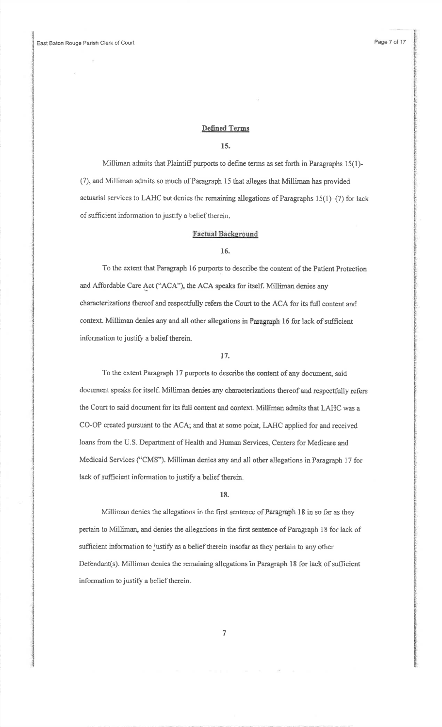## Defined Terms

## 15.

Milliman admits that Plaintiff purports to define terms as set forth in Paragraphs 15(1)-(7), and Mitliman admits so much of Paragraph 15 that alleges that Milliman has providedactuarial services to LAHC but denies the remaining allegations of Paragraphs  $15(1)-(7)$  for lack of sufficient information to justify a belief therein.

# Factual Background

## 16.

To the extent that Paragraph l6 purports to describe the content ofthe Patient Protectionand Affordable Care Act ("ACA"), the ACA speaks for itself. Milliman denies any characterizations thereof and respectfully refers the Court to the ACA for its full content and context. Milliman denies any and all other allegations in Paragraph 16 for lack of sufficient information to justify a belief therein.

### 17.

To the extent Paragraph 17 purports to describe the content of any document, said document speaks for itself. Milliman denies any characterizations thereof and respectfully refersthe Court to said document for its full content and context. Milliman admits that LAHC was a CO-OP created pursuant to the ACA; and that at some point, LAHC applied for and receivedIoans from the U.S- Department of Health and Human Services, Centers for Medicare andMedicaid Services ("CMS'). Milliman denies any and all other allegations in Paragraph 17 forlack of sufficient information to justify a belief therein.

### 18.

Milliman denies the allegations in the first sentence of Paragraph 18 in so far as theypertain to Milliman, and denies the allegations in the first sentence of Paragraph 18 for lack ofsufficient information to justify as a belief therein insofar as they pertain to any otherDefendant(s). Milliman denies the remaining allegations in Paragraph 18 for lack of sufficient information to justify a belief therein.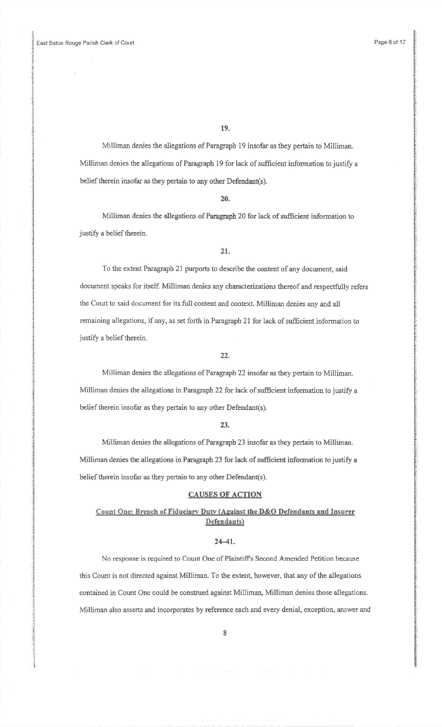Milliman denies the allegations of Paragraph 19 insofar as they pertain to Miliiman.Milliman denies the allegations of Paragraph 19 for lack of sufficient information to justify a belief therein insofar as they pertain to any other Defendant(s).

20.

Milliman denies the allegations of Paragraph 20 for lack of sufficient infonnation tojustify a belief therein.

To the extent Paragraph 2l purports to describe the content of any document, saiddocument speaks for itself. Milliman denies any characterizations fhereof and respectfully refersthe Court to said document for its full content and context. Milliman denies any and allremaining allegations, if any, as set forth in Paragraph 2l for lack of sufficient information tojustify a belief therein.

22.

Milliman denies the allegations of Paragraph 22 insofar as they pertain to Milliman. Milliman denies the allegations in Paragraph 22 for lack of sufficient information to justify a belief therein insofar as they perlain to any other Defendant(s).

## 23.

Milliman denies the allegations of Paragraph 23 insofar as they pertain to Milliman.Milliman denies the allegations in Paragrapt 23 for lack of sufficient information to justify abelief therein insofar as they pertain to any other Defendant(s).

### **CAUSES OF ACTION**

# Count One: Breach of Fiduciary Duty (Against the D&O Defendants and Insurer Defendants)

### $24 - 41$ .

No response is required to Count One of Plaintiffs Second Amended Petition becausethis Count is not directed against Milliman. To the extent, however, that any of the allegationscontained in Count One could be construed against Milliman, Milliman denies those allegations. Milliman also asserts and incorporates by reference each and every denial, exception, answer and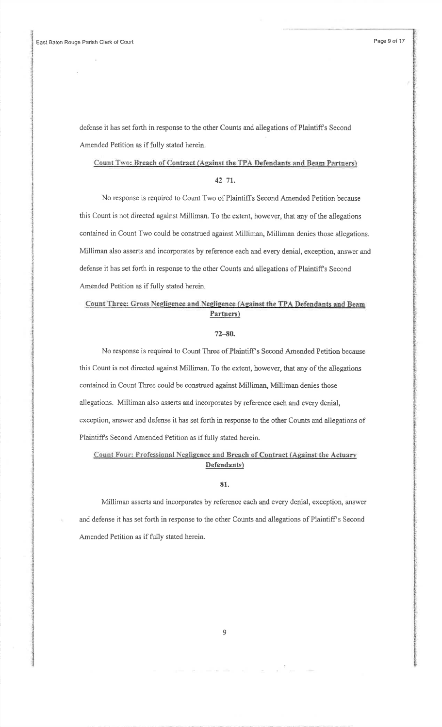dcfense it has set forth in response to the other Counts and allegations of Plaintiffs SecondAmended Petition as if fully stated herein.

## Count Two: Breach of Contract (Against the TPA Defendants and Beam Partners)

# $42 - 71.$

No response is required to Count Two of Plaintiffs Seoond Amended Fetition becausethis Count is not directed against Miliiman. To the extent, however, that any of the allegationscontained in Count Two could be construed against Milliman, Milliman denies those aliegations.Milliman also asserts and incorporates by reference each and every denial, exception, answer anddefense it has set forth in response to the other Counts and allegations of Plaintiffs SecondAmended Petition as if fully stated herein.

# Count Three: Gross Negligence and Negligence (Against the TPA Defendants and Beam Partners)

## 72-80.

No response is required to Count Three of PlaintifPs Second Amended Petition becausethis Count is not directed against Milliman. To the extent, however, that any of the allegationscontained in Count Three could be construed against Milliman, Milliman denies those allegations. Milliman also asserts and incorporates by reference each and every denial,exception, answer and defense it has set forth in response to the other Counts and allegations of Plaintiffs Second Amended Petition as if fully stated herein.

# Count Four: Professional Negligence and Breach of Contract (Against the Actuary Defendants)

### 81.

Milliman asserls and incorporates by reference each and every denial, exception, answerand defense it has set forth in response to the other Counts and allegations of Plaintiff s SecondAmended Petition as if fully stated herein.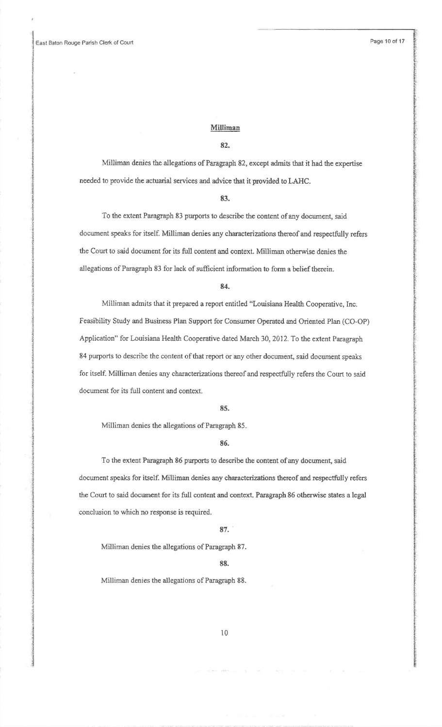### Milliman

## 82.

Milliman denies the allegations of Paragraph 82, except admits thar it had the expertiseneeded to provide the actuarial services and advice that it provided io LAHC.

### 83.

To the extent Paragraph 83 purports to describe the content of any document, said document speaks for itself. Milliman denies any characterizations thereof and respcctfully refersthe Court to said document for its full content and context. Milliman otherwise denies the allegations of Paragraph 83 for iack of sufficient information to form a belief therein.

#### 84.

Milliman admits that it prepared a report entitled '\*Louisiana Health Cooperative, Ine.Feasibility Study and Business Plan Support for Consurner Operated and Oriented Plan (CO-OP)Application" for Louisiana Health Cooperative dated March 30, 2012. To the extent Paragraph 84 purports to describe the content of that report or any other document, said document speaks for itself. Milliman denies any characterizations thereof and respectfully refers the Court to said document for its full content and context.

## 85.

Milliman denies the allegations of Paragraph 85.

### 86.

To the extent Paragraph 86 purports to describe the content of any document, said document speaks for itself. Milliman denies any characterizations thereof and respectfully refers the Court to said document for its full content and context. Paragraph 86 otherwise states a legal conclusion to which no response is required.

## 87.'

Milliman denies the allegafions of Paragraph 87.

#### 88.

Milliman denies the allegations of Paragraph 88.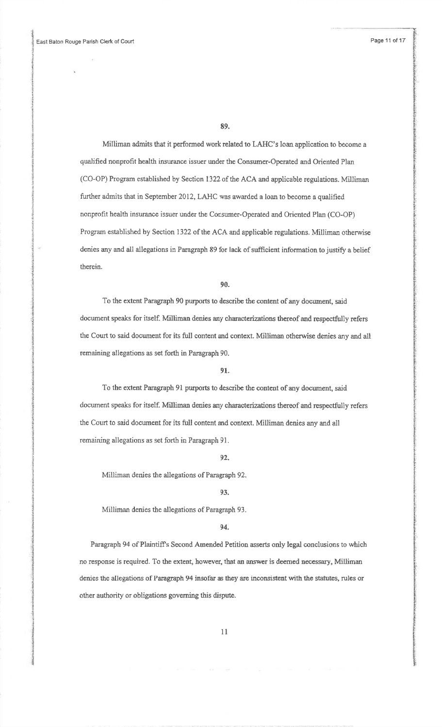Milliman admits that it performed work related to LAHC's loan application to become aqualified nonprofit health insurance issuer under the Consumer-Operated and Oriented Plan (CO-OP) Program established by Section 1322 of the ACA and applicable regulations. Millimanfurther admits that in September 2012, LAHC was awarded a loan to become a qualifiednonprofit health insurance issuer under the Consumer-Operated and Oriented PIan (CO-OP)Program established by Section 1322 of the ACA and applicable regulations. Milliman otherwise denies any and all allegations in Paragraph 89 for lack of sufficient information to justify a belief therein.

90.

To the extent Paragraph 90 purports to describe the content of any document, said document speaks for itself. Milliman denies any characterizations thereof and respectfully refersthe Court to said document for its full content and context. Milliman otherwise denies any and altremaining allegations as set forth in Paragraph 90.

## 91.

To the extent Paragraph 91 purports to describe the content of any document, said document speaks for itself. Milliman denies any characterizations thereof and respectfully refers the Court to said document for its full content and context. Milliman denies any and allremaining allegations as set forth in Paragraph 91.

#### 92.

Milliman denies the allegations of Paragraph 92.

### 93.

Milliman denies the allegations of Paragraph 93.

### 94.

Paragraph 94 of Plaintiffs Second Amended Petition asserts only legal conclusions to whichno response is required. To the extent, however, that an answer is deemed necessary, Milliman denies fie allegations of Paragraph 94 insofar as they are inconsistent with the statutes, rules orother authority or obligations goveming this dispurc.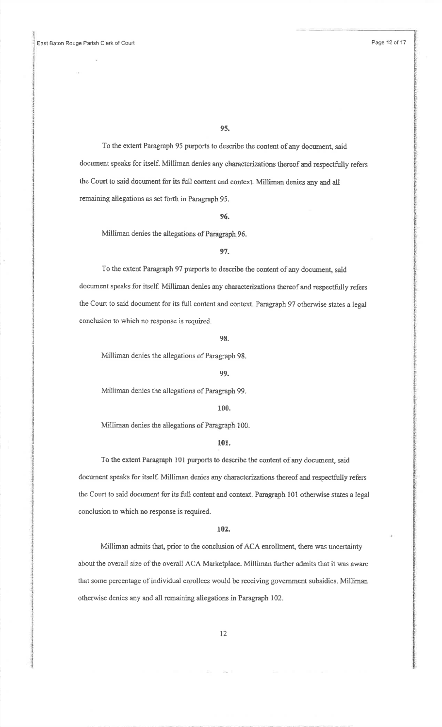To the extent Paragraph 95 purports to describe the content of any document, saiddocument speaks for itself. Milliman denies any characterizations thereof and respectfully refersthe Court to said document for its full content and context. Milliman denies any and all remaining allegations as set forth in Paragraph 95.

#### 96.

Milliman denies the allegations of Paragraph 96.

# 97,

To the extent Paragraph 97 purports to describe the content of any document, said document speaks for itself. Milliman denies any characterizafions thereof and respectfully refersthe Court to said document for its full content and context. Paragraph 97 otherwise states a legalconclusion to which no response is required.

### 98.

Milliman denies the allegations of Paragraph 98.

#### 99.

Milliman denies the allegations of Paragrapb 99.

### 100.

Milliman denies the allegations of Paragraph 100.

## 101.

To the extent Paragraph 101 purports to describe the content of any document, saiddocument speaks for itself. Milliman denies any characterizations thereof and respectfully refers the Court to said document for its full content and context. Paragraph 101 otherwise states a legalconelusion to which no response is required.

### 102.

Milliman admits that, prior to the conclusion of ACA enrollment, there was uncertainty about the overall size of the overall ACA Marketplace. Milliman further admits that it was awarethat some percentage of individual enrollees would be receiving government subsidies. Millimanotherwise denies any and all remaining allegations in Paragraph 102.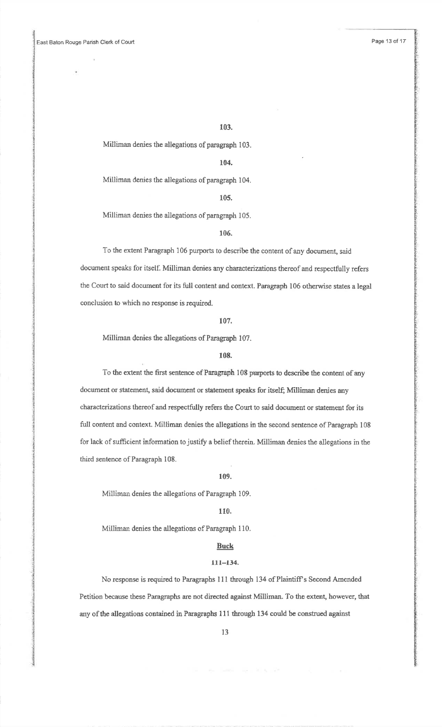Milliman denies the allegations of paragraph 103.

### 104.

Milliman denies the allegations of paragraph 104.

105.

Milliman denies the allegations of paragraph 105.

## 106.

To the extent Patagraph 106 purports to describe the content of any document, saiddocument speaks for itself. Milliman denies any characterizations thereof and respectfully refers the Court to said document for its full content and context. Paragraph 106 otherwise states a legal conclusion to which no response is required.

107.

Milliman denies the allegations of Paragraph 107.

## 108.

To the extent the first sentence of Paragraph 108 purports to describe the content of any document or statement, said document or statement speaks for itself; Milliman denies any characterizations thereof and respectfully refers the Court to said document or statement for its full content and context. Milliman denies the allegations in the second sentence of Paragraph 108for lack of sufficient information to justify a belief therein. Milliman denies the allegations in the third sentence of Paragraph 108.

### 109.

Milliman denies the allegations of Paragraph 109.

### 1I0.

Milliman denies the allegations of Paragraph 110.

# **Buck**

## 111-134.

No response is required to Paragraphs 111 through 134 of Plaintiff's Second Amended Petition because these Paragraphs are not directed against Milliman. To the extent, however, that any of the allegations contained in Faragraphs 11I through 134 could be construed against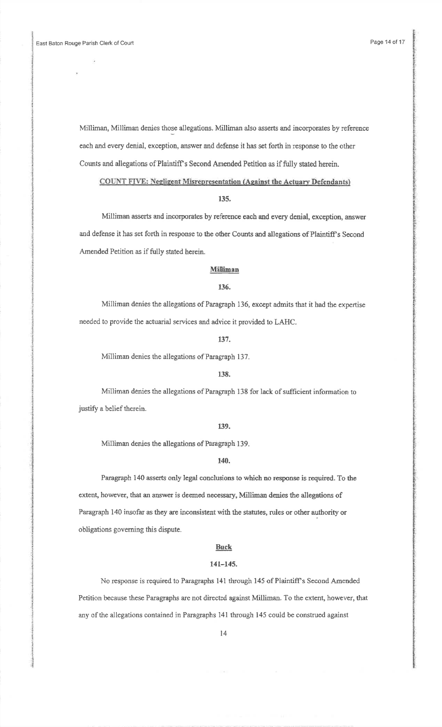Milliman, Milliman denies those allegations. Milliman also asserts and incorporates by reference each and every denial, exception, answer and defense it has set forth in response to the otherCounts and allegations of Plaintiff's Second Amended Petition as if fully stated herein.

COUNT FIVE: Negligent Misrepresentation (Against the Actuary Defendants)

## 135.

Milliman asserts and incorporates by reference each and every denial, exception, answerand defense it has set forth in response to the other Counts and allegations of Plaintiff's Second Amended Petition as if fully stated herein.

### **Milliman**

## 136.

Milliman denies the allegations of Paragraph 136, except admits that it had the expertise needed to provide the actuarial services and advice it provided to LAHC.

### 137.

Miliiman denies the allegations of Paragraph 137.

## 138.

Milliman denies the allegations of Paragraph 138 for lack of sufficient information to justify a belief therein.

## r39.

Milliman denies the allegations of Paragraph 139.

## 140.

Paragraph 140 asserts only legal conclusions to which no response is required. To the extent, however, that an answer is deemed necessary, Milliman denies the allegations ofParagraph 140 insofar as they are inconsistent with the statutes, rules or other authority orobligations goveming this dispute.

## Buck

#### 141-145.

No response is required to Paragraphs 141 through 145 of Plaintiff's Second Amended Petition because these Paragraphs are not directed against Milliman. To the extent, however, that any of the allegations contained in Paragraphs 141 through 145 could be construed against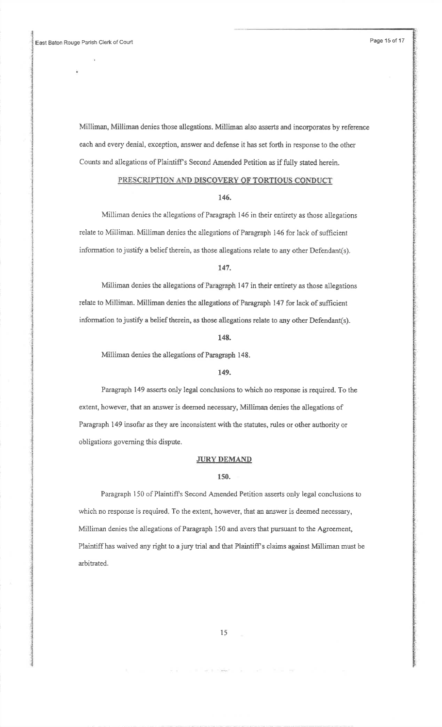Milliman, Milliman denies those allegations. Milliman also asserts and incorporates by reference each and every denial, exception, answer and defense it has set forth in response to the other Counts and allegations of Plaintiff's Second Amended Petition as if fully stated herein.

# PRESCRIPTION AND DISCOVERY OF TORTIOUS CONDUCT

### 146.

Milliman denies the allegations of Paragraph I46 in their entirety as those allegationsrelate to Milliman. Milliman denies the allegations of Paragraph 146 for lack of sufficientinformation to justify a belief therein, as those allegations relate to any other Defendant(s).

### t47.

Miliiman denies the allegations of Paragraph 147 in their entirety as those allegationsrelate to Milliman. Milliman denies the allegations of Paragraph 147 for lack of sufficient information to justify a belief therein, as those allegations relate to any other Defendant(s).

### 148.

Miliiman denies the allegations of Paragraph 148.

#### 149.

Paragraph 149 asserts only legal conclusions to which no response is required. To theextent, however, that an answer is deemed necessary, Milliman denies the allegations ofParagraph 149 insofar as they are inconsistent with the statutes, rules or other authority or obligations goveming this dispute.

### JURY DEMAND

## 150.

Paragraph 150 of Plaintiffs Second Amended Petition asserts only legal conclusions towhich no response is required. To the extent, however, that an answer is deemed necessary, Milliman denies the allegations of Paragraph 150 and avers that pursuant to the Agreement, Plaintiff has waived any right to a jury trial and that Plaintiff's claims against Milliman must be arbitrated.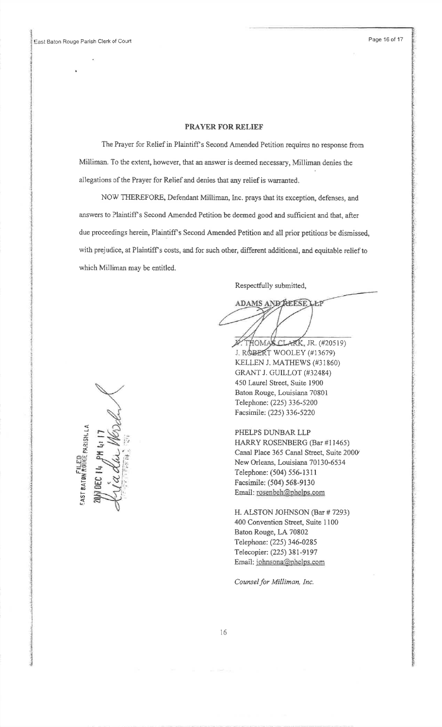# PRAYER FOR RELIEF

The Prayer for Relief in Plaintiff's Second Amended Petition requires no response from Milliman. To the extent, however, that an answer is deemed necessary, Milliman denies the allegations of the Prayer for Relief and denies that any relief is warranted.

NOW THEREFORE, Defendant Milliman, Inc. prays that its exception, defenses, andanswers to Plaintiff s Second Amended Petition be deemed good and sufficient and that, afterdue proceedings herein, Plaintiff's Second Amended Petition and all prior petitions be dismissed, with prejudice, at Plaintiff's costs, and for such other, different additional, and equitable relief to which Milliman may be entitled.

Respectfully submitted,

ADAMS AND REESE LEP

jJ. ROBERT WOOLEY (#13679) K\_ELLEN J. MATHEWS (#31860)X. THOMAS CLARK, JR. (#20519) GRANT J. GUILLOT (#32484)450 Laurel Street, Suite 1900 Baton Rouge, Louisiana 70801 Telephone: (225) 336-5200Facsimile; (225\ 336-5220

PHELPS DUNBAR LLP HARRY ROSENBERG (Bar #l 1465) Canal Place 365 Canal Street, Suite 2000New Orleans, Louisiana 70130-6534 Telephone: (504) 556-13i I Facsimile: (504) 568-9130Email: rosenbeh@phelps.com

H. ALSTON J0HNSON (Bar# 7293)400 Convention Street, Suite 1100Baton Rouge, LA 70802 Telephone: (225) 346-0285Telecopier: (225) 381-9197 Email: johnsona@phelps.com

Counsel for Milliman, Inc.

FILED<br>ROUGE PARISH, LA ist BATBI  $\diagdown$  $15\%$  $\tilde{z}$  :  $\mathbb{E} \mathbb{E} \mathbb{E}$  $\frac{1}{2}$ **A**